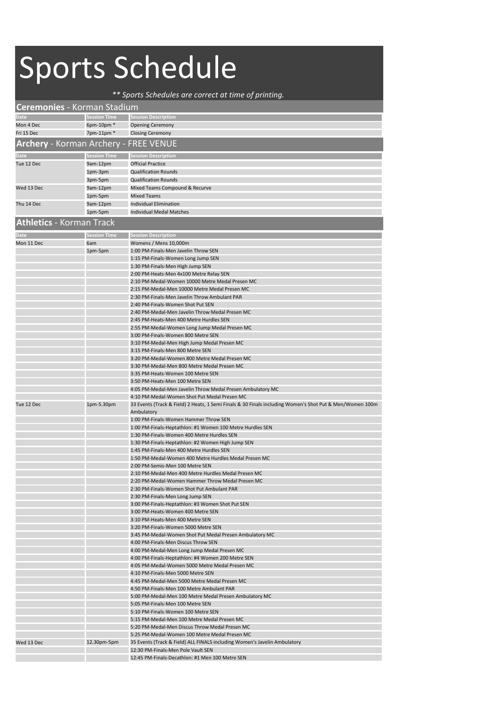## Sports Schedule

## *\*\* Sports Schedules are correct at time of printing.*

| <b>Ceremonies</b> - Korman Stadium           |                     |                                                                                                          |
|----------------------------------------------|---------------------|----------------------------------------------------------------------------------------------------------|
| <b>Date</b>                                  | Session Time        | <b>Session Description</b>                                                                               |
| Mon 4 Dec                                    | 6pm-10pm *          | <b>Opening Ceremony</b>                                                                                  |
| Fri 15 Dec                                   | 7pm-11pm *          | <b>Closing Ceremony</b>                                                                                  |
| <b>Archery</b> - Korman Archery - FREE VENUE |                     |                                                                                                          |
|                                              |                     |                                                                                                          |
| <b>Date</b>                                  | <b>Session Time</b> | <b>Session Description</b>                                                                               |
| Tue 12 Dec                                   | 9am-12pm            | <b>Official Practice</b>                                                                                 |
|                                              | 1pm-3pm             | <b>Qualification Rounds</b>                                                                              |
|                                              | 3pm-5pm             | <b>Qualification Rounds</b>                                                                              |
| Wed 13 Dec                                   | 9am-12pm            | Mixed Teams Compound & Recurve                                                                           |
|                                              | 1pm-5pm             | <b>Mixed Teams</b>                                                                                       |
| Thu 14 Dec                                   | 9am-12pm            | <b>Individual Elimination</b>                                                                            |
|                                              | 1pm-5pm             | <b>Individual Medal Matches</b>                                                                          |
| <b>Athletics - Korman Track</b>              |                     |                                                                                                          |
|                                              |                     |                                                                                                          |
| Date                                         | <b>Session Time</b> | <b>Session Description</b>                                                                               |
| Mon 11 Dec                                   | 6am                 | Womens / Mens 10,000m<br>1:00 PM-Finals-Men Javelin Throw SEN                                            |
|                                              | 1pm-5pm             | 1:15 PM-Finals-Women Long Jump SEN                                                                       |
|                                              |                     | 1:30 PM-Finals-Men High Jump SEN                                                                         |
|                                              |                     | 2:00 PM-Heats-Men 4x100 Metre Relay SEN                                                                  |
|                                              |                     | 2:10 PM-Medal-Women 10000 Metre Medal Presen MC                                                          |
|                                              |                     | 2:15 PM-Medal-Men 10000 Metre Medal Presen MC                                                            |
|                                              |                     | 2:30 PM-Finals-Men Javelin Throw Ambulant PAR                                                            |
|                                              |                     | 2:40 PM-Finals-Women Shot Put SEN                                                                        |
|                                              |                     | 2:40 PM-Medal-Men Javelin Throw Medal Presen MC                                                          |
|                                              |                     | 2:45 PM-Heats-Men 400 Metre Hurdles SEN                                                                  |
|                                              |                     | 2:55 PM-Medal-Women Long Jump Medal Presen MC                                                            |
|                                              |                     | 3:00 PM-Finals-Women 800 Metre SEN                                                                       |
|                                              |                     | 3:10 PM-Medal-Men High Jump Medal Presen MC                                                              |
|                                              |                     | 3:15 PM-Finals-Men 800 Metre SEN                                                                         |
|                                              |                     | 3:20 PM-Medal-Women 800 Metre Medal Presen MC                                                            |
|                                              |                     | 3:30 PM-Medal-Men 800 Metre Medal Presen MC                                                              |
|                                              |                     | 3:35 PM-Heats-Women 100 Metre SEN                                                                        |
|                                              |                     | 3:50 PM-Heats-Men 100 Metre SEN                                                                          |
|                                              |                     | 4:05 PM-Medal-Men Javelin Throw Medal Presen Ambulatory MC                                               |
|                                              |                     | 4:10 PM-Medal-Women Shot Put Medal Presen MC                                                             |
| Tue 12 Dec                                   | 1pm-5.30pm          | 33 Events (Track & Field) 2 Heats, 1 Semi Finals & 30 Finals including Women's Shot Put & Men/Women 100m |
|                                              |                     | Ambulatory                                                                                               |
|                                              |                     | 1:00 PM-Finals-Women Hammer Throw SEN                                                                    |
|                                              |                     | 1:00 PM-Finals-Heptathlon: #1 Women 100 Metre Hurdles SEN                                                |
|                                              |                     | 1:30 PM-Finals-Women 400 Metre Hurdles SEN                                                               |
|                                              |                     | 1:30 PM-Finals-Heptathlon: #2 Women High Jump SEN<br>1:45 PM-Finals-Men 400 Metre Hurdles SEN            |
|                                              |                     | 1:50 PM-Medal-Women 400 Metre Hurdles Medal Presen MC                                                    |
|                                              |                     | 2:00 PM-Semis-Men 100 Metre SEN                                                                          |
|                                              |                     | 2:10 PM-Medal-Men 400 Metre Hurdles Medal Presen MC                                                      |
|                                              |                     | 2:20 PM-Medal-Women Hammer Throw Medal Presen MC                                                         |
|                                              |                     | 2:30 PM-Finals-Women Shot Put Ambulant PAR                                                               |
|                                              |                     | 2:30 PM-Finals-Men Long Jump SEN                                                                         |
|                                              |                     | 3:00 PM-Finals-Heptathlon: #3 Women Shot Put SEN                                                         |
|                                              |                     | 3:00 PM-Heats-Women 400 Metre SEN                                                                        |
|                                              |                     | 3:10 PM-Heats-Men 400 Metre SEN                                                                          |
|                                              |                     | 3:20 PM-Finals-Women 5000 Metre SEN                                                                      |
|                                              |                     | 3:45 PM-Medal-Women Shot Put Medal Presen Ambulatory MC                                                  |
|                                              |                     | 4:00 PM-Finals-Men Discus Throw SEN                                                                      |
|                                              |                     | 4:00 PM-Medal-Men Long Jump Medal Presen MC                                                              |
|                                              |                     | 4:00 PM-Finals-Heptathlon: #4 Women 200 Metre SEN                                                        |
|                                              |                     | 4:05 PM-Medal-Women 5000 Metre Medal Presen MC                                                           |
|                                              |                     | 4:10 PM-Finals-Men 5000 Metre SEN                                                                        |
|                                              |                     | 4:45 PM-Medal-Men 5000 Metre Medal Presen MC                                                             |
|                                              |                     | 4:50 PM-Finals-Men 100 Metre Ambulant PAR                                                                |
|                                              |                     | 5:00 PM-Medal-Men 100 Metre Medal Presen Ambulatory MC                                                   |
|                                              |                     | 5:05 PM-Finals-Men 100 Metre SEN                                                                         |
|                                              |                     | 5:10 PM-Finals-Women 100 Metre SEN                                                                       |
|                                              |                     | 5:15 PM-Medal-Men 100 Metre Medal Presen MC                                                              |
|                                              |                     | 5:20 PM-Medal-Men Discus Throw Medal Presen MC<br>5:25 PM-Medal-Women 100 Metre Medal Presen MC          |
| Wed 13 Dec                                   | 12.30pm-5pm         | 35 Events (Track & Field) ALL FINALS including Women's Javelin Ambulatory                                |
|                                              |                     | 12:30 PM-Finals-Men Pole Vault SEN                                                                       |
|                                              |                     | 12:45 PM-Finals-Decathlon: #1 Men 100 Metre SEN                                                          |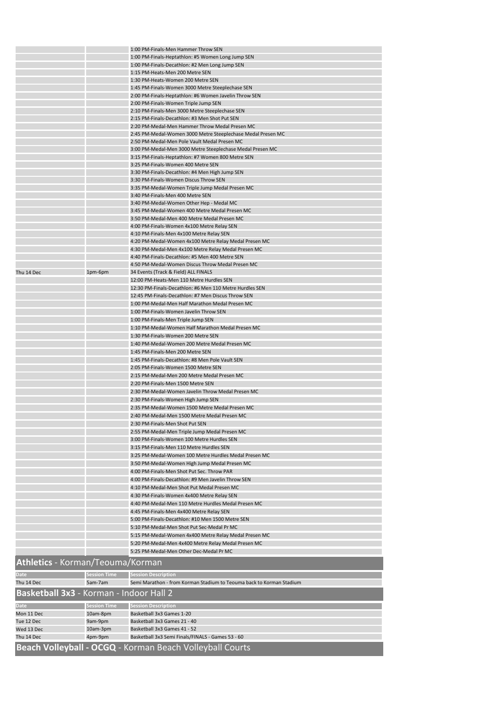|                                         |                     | 1:00 PM-Finals-Men Hammer Throw SEN                                          |
|-----------------------------------------|---------------------|------------------------------------------------------------------------------|
|                                         |                     | 1:00 PM-Finals-Heptathlon: #5 Women Long Jump SEN                            |
|                                         |                     | 1:00 PM-Finals-Decathlon: #2 Men Long Jump SEN                               |
|                                         |                     | 1:15 PM-Heats-Men 200 Metre SEN                                              |
|                                         |                     | 1:30 PM-Heats-Women 200 Metre SEN                                            |
|                                         |                     | 1:45 PM-Finals-Women 3000 Metre Steeplechase SEN                             |
|                                         |                     | 2:00 PM-Finals-Heptathlon: #6 Women Javelin Throw SEN                        |
|                                         |                     | 2:00 PM-Finals-Women Triple Jump SEN                                         |
|                                         |                     | 2:10 PM-Finals-Men 3000 Metre Steeplechase SEN                               |
|                                         |                     | 2:15 PM-Finals-Decathlon: #3 Men Shot Put SEN                                |
|                                         |                     | 2:20 PM-Medal-Men Hammer Throw Medal Presen MC                               |
|                                         |                     | 2:45 PM-Medal-Women 3000 Metre Steeplechase Medal Presen MC                  |
|                                         |                     | 2:50 PM-Medal-Men Pole Vault Medal Presen MC                                 |
|                                         |                     | 3:00 PM-Medal-Men 3000 Metre Steeplechase Medal Presen MC                    |
|                                         |                     | 3:15 PM-Finals-Heptathlon: #7 Women 800 Metre SEN                            |
|                                         |                     | 3:25 PM-Finals-Women 400 Metre SEN                                           |
|                                         |                     | 3:30 PM-Finals-Decathlon: #4 Men High Jump SEN                               |
|                                         |                     | 3:30 PM-Finals-Women Discus Throw SEN                                        |
|                                         |                     | 3:35 PM-Medal-Women Triple Jump Medal Presen MC                              |
|                                         |                     | 3:40 PM-Finals-Men 400 Metre SEN<br>3:40 PM-Medal-Women Other Hep - Medal MC |
|                                         |                     | 3:45 PM-Medal-Women 400 Metre Medal Presen MC                                |
|                                         |                     | 3:50 PM-Medal-Men 400 Metre Medal Presen MC                                  |
|                                         |                     | 4:00 PM-Finals-Women 4x100 Metre Relay SEN                                   |
|                                         |                     | 4:10 PM-Finals-Men 4x100 Metre Relay SEN                                     |
|                                         |                     | 4:20 PM-Medal-Women 4x100 Metre Relay Medal Presen MC                        |
|                                         |                     | 4:30 PM-Medal-Men 4x100 Metre Relay Medal Presen MC                          |
|                                         |                     | 4:40 PM-Finals-Decathlon: #5 Men 400 Metre SEN                               |
|                                         |                     | 4:50 PM-Medal-Women Discus Throw Medal Presen MC                             |
| Thu 14 Dec                              | 1pm-6pm             | 34 Events (Track & Field) ALL FINALS                                         |
|                                         |                     | 12:00 PM-Heats-Men 110 Metre Hurdles SEN                                     |
|                                         |                     | 12:30 PM-Finals-Decathlon: #6 Men 110 Metre Hurdles SEN                      |
|                                         |                     | 12:45 PM-Finals-Decathlon: #7 Men Discus Throw SEN                           |
|                                         |                     | 1:00 PM-Medal-Men Half Marathon Medal Presen MC                              |
|                                         |                     | 1:00 PM-Finals-Women Javelin Throw SEN                                       |
|                                         |                     | 1:00 PM-Finals-Men Triple Jump SEN                                           |
|                                         |                     | 1:10 PM-Medal-Women Half Marathon Medal Presen MC                            |
|                                         |                     | 1:30 PM-Finals-Women 200 Metre SEN                                           |
|                                         |                     | 1:40 PM-Medal-Women 200 Metre Medal Presen MC                                |
|                                         |                     | 1:45 PM-Finals-Men 200 Metre SEN                                             |
|                                         |                     |                                                                              |
|                                         |                     | 1:45 PM-Finals-Decathlon: #8 Men Pole Vault SEN                              |
|                                         |                     | 2:05 PM-Finals-Women 1500 Metre SEN                                          |
|                                         |                     | 2:15 PM-Medal-Men 200 Metre Medal Presen MC                                  |
|                                         |                     | 2:20 PM-Finals-Men 1500 Metre SEN                                            |
|                                         |                     | 2:30 PM-Medal-Women Javelin Throw Medal Presen MC                            |
|                                         |                     | 2:30 PM-Finals-Women High Jump SEN                                           |
|                                         |                     | 2:35 PM-Medal-Women 1500 Metre Medal Presen MC                               |
|                                         |                     | 2:40 PM-Medal-Men 1500 Metre Medal Presen MC                                 |
|                                         |                     | 2:30 PM-Finals-Men Shot Put SEN                                              |
|                                         |                     | 2:55 PM-Medal-Men Triple Jump Medal Presen MC                                |
|                                         |                     | 3:00 PM-Finals-Women 100 Metre Hurdles SEN                                   |
|                                         |                     | 3:15 PM-Finals-Men 110 Metre Hurdles SEN                                     |
|                                         |                     | 3:25 PM-Medal-Women 100 Metre Hurdles Medal Presen MC                        |
|                                         |                     | 3:50 PM-Medal-Women High Jump Medal Presen MC                                |
|                                         |                     | 4:00 PM-Finals-Men Shot Put Sec. Throw PAR                                   |
|                                         |                     | 4:00 PM-Finals-Decathlon: #9 Men Javelin Throw SEN                           |
|                                         |                     | 4:10 PM-Medal-Men Shot Put Medal Presen MC                                   |
|                                         |                     | 4:30 PM-Finals-Women 4x400 Metre Relay SEN                                   |
|                                         |                     | 4:40 PM-Medal-Men 110 Metre Hurdles Medal Presen MC                          |
|                                         |                     | 4:45 PM-Finals-Men 4x400 Metre Relay SEN                                     |
|                                         |                     | 5:00 PM-Finals-Decathlon: #10 Men 1500 Metre SEN                             |
|                                         |                     | 5:10 PM-Medal-Men Shot Put Sec-Medal Pr MC                                   |
|                                         |                     | 5:15 PM-Medal-Women 4x400 Metre Relay Medal Presen MC                        |
|                                         |                     | 5:20 PM-Medal-Men 4x400 Metre Relay Medal Presen MC                          |
|                                         |                     | 5:25 PM-Medal-Men Other Dec-Medal Pr MC                                      |
| Athletics - Korman/Teouma/Korman        |                     |                                                                              |
|                                         |                     |                                                                              |
| Date                                    | <b>Session Time</b> | <b>Session Description</b>                                                   |
| Thu 14 Dec                              | 5am-7am             | Semi Marathon - from Korman Stadium to Teouma back to Korman Stadium         |
| Basketball 3x3 - Korman - Indoor Hall 2 |                     |                                                                              |
|                                         |                     |                                                                              |
| <b>Date</b>                             | <b>Session Time</b> | <b>Session Description</b>                                                   |
| Mon 11 Dec                              | 10am-8pm            | Basketball 3x3 Games 1-20                                                    |
| Tue 12 Dec<br>Wed 13 Dec                | 9am-9pm             | Basketball 3x3 Games 21 - 40<br>Basketball 3x3 Games 41 - 52                 |
| Thu 14 Dec                              | 10am-3pm<br>4pm-9pm | Basketball 3x3 Semi Finals/FINALS - Games 53 - 60                            |
|                                         |                     |                                                                              |
|                                         |                     | Beach Volleyball - OCGQ - Korman Beach Volleyball Courts                     |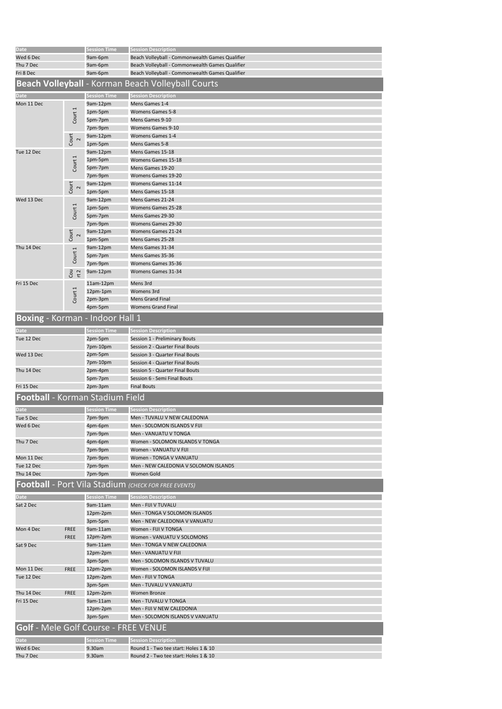| <b>Date</b>                                 |                      | <b>Session Time</b> | <b>Session Description</b>                                  |
|---------------------------------------------|----------------------|---------------------|-------------------------------------------------------------|
|                                             |                      |                     |                                                             |
| Wed 6 Dec                                   |                      | 9am-6pm             | Beach Volleyball - Commonwealth Games Qualifier             |
| Thu 7 Dec                                   |                      | 9am-6pm             | Beach Volleyball - Commonwealth Games Qualifier             |
| Fri 8 Dec                                   |                      | 9am-6pm             | Beach Volleyball - Commonwealth Games Qualifier             |
|                                             |                      |                     | Beach Volleyball - Korman Beach Volleyball Courts           |
|                                             |                      |                     |                                                             |
| Date                                        |                      | Session Time        | <b>Session Description</b>                                  |
|                                             |                      |                     |                                                             |
| Mon 11 Dec                                  |                      | 9am-12pm            | Mens Games 1-4                                              |
|                                             |                      | 1pm-5pm             | <b>Womens Games 5-8</b>                                     |
|                                             | Court <sub>1</sub>   | 5pm-7pm             | Mens Games 9-10                                             |
|                                             |                      | 7pm-9pm             | <b>Womens Games 9-10</b>                                    |
|                                             |                      | 9am-12pm            | Womens Games 1-4                                            |
|                                             | Court<br>$\sim$      |                     | Mens Games 5-8                                              |
|                                             |                      | 1pm-5pm             |                                                             |
| Tue 12 Dec                                  |                      | 9am-12pm            | Mens Games 15-18                                            |
|                                             | Court <sub>1</sub>   | 1pm-5pm             | Womens Games 15-18                                          |
|                                             |                      | 5pm-7pm             | Mens Games 19-20                                            |
|                                             |                      | 7pm-9pm             | Womens Games 19-20                                          |
|                                             |                      |                     |                                                             |
|                                             | Court<br>$\sim$      | 9am-12pm            | <b>Womens Games 11-14</b>                                   |
|                                             |                      | 1pm-5pm             | Mens Games 15-18                                            |
| Wed 13 Dec                                  |                      | 9am-12pm            | Mens Games 21-24                                            |
|                                             |                      | 1pm-5pm             | Womens Games 25-28                                          |
|                                             | Court <sub>1</sub>   | 5pm-7pm             | Mens Games 29-30                                            |
|                                             |                      |                     | Womens Games 29-30                                          |
|                                             |                      | 7pm-9pm             |                                                             |
|                                             | Court<br>$\mathbf 2$ | 9am-12pm            | <b>Womens Games 21-24</b>                                   |
|                                             |                      | 1pm-5pm             | Mens Games 25-28                                            |
| Thu 14 Dec                                  |                      | 9am-12pm            | Mens Games 31-34                                            |
|                                             |                      | 5pm-7pm             | Mens Games 35-36                                            |
|                                             | Court <sub>1</sub>   |                     |                                                             |
|                                             |                      | 7pm-9pm             | Womens Games 35-36                                          |
|                                             | $\frac{Cou}{rt}$     | 9am-12pm            | Womens Games 31-34                                          |
|                                             |                      |                     | Mens 3rd                                                    |
| Fri 15 Dec                                  |                      | $11am-12pm$         |                                                             |
|                                             | Court <sub>1</sub>   | 12pm-1pm            | Womens 3rd                                                  |
|                                             |                      | 2pm-3pm             | <b>Mens Grand Final</b>                                     |
|                                             |                      | 4pm-5pm             | <b>Womens Grand Final</b>                                   |
|                                             |                      |                     |                                                             |
| Boxing - Korman - Indoor Hall 1             |                      |                     |                                                             |
|                                             |                      |                     |                                                             |
| Date                                        |                      | Session Time        | <b>Session Description</b>                                  |
| Tue 12 Dec                                  |                      | 2pm-5pm             | Session 1 - Preliminary Bouts                               |
|                                             |                      | 7pm-10pm            | Session 2 - Quarter Final Bouts                             |
| Wed 13 Dec                                  |                      | 2pm-5pm             | Session 3 - Quarter Final Bouts                             |
|                                             |                      |                     |                                                             |
|                                             |                      | 7pm-10pm            | Session 4 - Quarter Final Bouts                             |
| Thu 14 Dec                                  |                      | 2pm-4pm             | Session 5 - Quarter Final Bouts                             |
|                                             |                      | 5pm-7pm             | Session 6 - Semi Final Bouts                                |
| Fri 15 Dec                                  |                      | 2pm-3pm             | <b>Final Bouts</b>                                          |
|                                             |                      |                     |                                                             |
| Football - Korman Stadium Field             |                      |                     |                                                             |
|                                             |                      |                     |                                                             |
| Date                                        |                      | <b>Session Time</b> | <b>Session Description</b>                                  |
| Tue 5 Dec                                   |                      | 7pm-9pm             | Men - TUVALU V NEW CALEDONIA                                |
| Wed 6 Dec                                   |                      | 4рт-6рт             | Men - SOLOMON ISLANDS V FIJI                                |
|                                             |                      | 7pm-9pm             | Men - VANUATU V TONGA                                       |
| Thu 7 Dec                                   |                      | 4рт-6рт             | Women - SOLOMON ISLANDS V TONGA                             |
|                                             |                      |                     |                                                             |
|                                             |                      | 7pm-9pm             | Women - VANUATU V FIJI                                      |
| Mon 11 Dec                                  |                      | 7pm-9pm             | Women - TONGA V VANUATU                                     |
| Tue 12 Dec                                  |                      | 7pm-9pm             | Men - NEW CALEDONIA V SOLOMON ISLANDS                       |
| Thu 14 Dec                                  |                      | 7pm-9pm             | Women Gold                                                  |
|                                             |                      |                     |                                                             |
|                                             |                      |                     | <b>Football - Port Vila Stadium (CHECK FOR FREE EVENTS)</b> |
|                                             |                      |                     |                                                             |
| Date                                        |                      | <b>Session Time</b> | <b>Session Description</b>                                  |
| Sat 2 Dec                                   |                      | 9am-11am            | Men - FIJI V TUVALU                                         |
|                                             |                      | 12pm-2pm            | Men - TONGA V SOLOMON ISLANDS                               |
|                                             |                      | 3pm-5pm             | Men - NEW CALEDONIA V VANUATU                               |
| Mon 4 Dec                                   |                      | 9am-11am            | Women - FIJI V TONGA                                        |
|                                             | FREE                 |                     |                                                             |
|                                             | <b>FREE</b>          | 12pm-2pm            | Women - VANUATU V SOLOMONS                                  |
| Sat 9 Dec                                   |                      | 9am-11am            | Men - TONGA V NEW CALEDONIA                                 |
|                                             |                      | 12pm-2pm            | Men - VANUATU V FIJI                                        |
|                                             |                      | 3pm-5pm             | Men - SOLOMON ISLANDS V TUVALU                              |
| Mon 11 Dec                                  | <b>FREE</b>          | 12pm-2pm            | Women - SOLOMON ISLANDS V FIJI                              |
|                                             |                      |                     |                                                             |
| Tue 12 Dec                                  |                      | 12pm-2pm            | Men - FIJI V TONGA                                          |
|                                             |                      | 3pm-5pm             | Men - TUVALU V VANUATU                                      |
| Thu 14 Dec                                  | <b>FREE</b>          | 12pm-2pm            | Women Bronze                                                |
| Fri 15 Dec                                  |                      | 9am-11am            | Men - TUVALU V TONGA                                        |
|                                             |                      | 12pm-2pm            | Men - FIJI V NEW CALEDONIA                                  |
|                                             |                      |                     |                                                             |
|                                             |                      | 3pm-5pm             | Men - SOLOMON ISLANDS V VANUATU                             |
| <b>Golf - Mele Golf Course - FREE VENUE</b> |                      |                     |                                                             |
|                                             |                      |                     |                                                             |
| Date                                        |                      | <b>Session Time</b> | <b>Session Description</b>                                  |
| Wed 6 Dec                                   |                      | 9.30am              | Round 1 - Two tee start: Holes 1 & 10                       |
|                                             |                      |                     |                                                             |
| Thu 7 Dec                                   |                      | 9.30am              | Round 2 - Two tee start: Holes 1 & 10                       |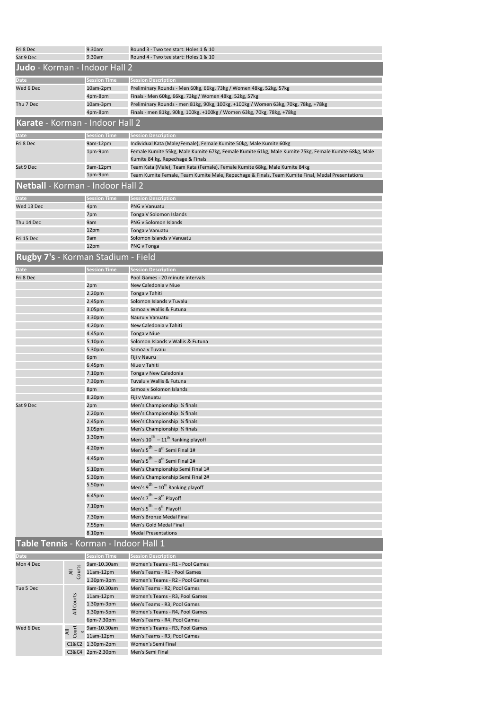| Fri 8 Dec<br>Sat 9 Dec                |                                   | 9.30am<br>9.30am           | Round 3 - Two tee start: Holes 1 & 10<br>Round 4 - Two tee start: Holes 1 & 10                                                                                              |
|---------------------------------------|-----------------------------------|----------------------------|-----------------------------------------------------------------------------------------------------------------------------------------------------------------------------|
| Judo - Korman - Indoor Hall 2         |                                   |                            |                                                                                                                                                                             |
|                                       |                                   |                            |                                                                                                                                                                             |
| Date                                  |                                   | <b>Session Time</b>        | <b>Session Description</b>                                                                                                                                                  |
| Wed 6 Dec                             |                                   | 10am-2pm<br>4pm-8pm        | Preliminary Rounds - Men 60kg, 66kg, 73kg / Women 48kg, 52kg, 57kg<br>Finals - Men 60kg, 66kg, 73kg / Women 48kg, 52kg, 57kg                                                |
| Thu 7 Dec                             |                                   | 10am-3pm                   | Preliminary Rounds - men 81kg, 90kg, 100kg, +100kg / Women 63kg, 70kg, 78kg, +78kg                                                                                          |
|                                       |                                   | 4pm-8pm                    | Finals - men 81kg, 90kg, 100kg, +100kg / Women 63kg, 70kg, 78kg, +78kg                                                                                                      |
| Karate - Korman - Indoor Hall 2       |                                   |                            |                                                                                                                                                                             |
|                                       |                                   |                            |                                                                                                                                                                             |
| Date                                  |                                   | Session Time               | <b>Session Description</b>                                                                                                                                                  |
| Fri 8 Dec                             |                                   | 9am-12pm<br>1pm-9pm        | Individual Kata (Male/Female), Female Kumite 50kg, Male Kumite 60kg<br>Female Kumite 55kg, Male Kumite 67kg, Female Kumite 61kg, Male Kumite 75kg, Female Kumite 68kg, Male |
|                                       |                                   |                            | Kumite 84 kg, Repechage & Finals                                                                                                                                            |
| Sat 9 Dec                             |                                   | 9am-12pm                   | Team Kata (Male), Team Kata (Female), Female Kumite 68kg, Male Kumite 84kg                                                                                                  |
|                                       |                                   | 1pm-9pm                    | Team Kumite Female, Team Kumite Male, Repechage & Finals, Team Kumite Final, Medal Presentations                                                                            |
| Netball - Korman - Indoor Hall 2      |                                   |                            |                                                                                                                                                                             |
|                                       |                                   |                            |                                                                                                                                                                             |
| Date<br>Wed 13 Dec                    |                                   | <b>Session Time</b><br>4pm | <b>Session Description</b><br>PNG v Vanuatu                                                                                                                                 |
|                                       |                                   | 7pm                        | Tonga V Solomon Islands                                                                                                                                                     |
| Thu 14 Dec                            |                                   | 9am                        | PNG v Solomon Islands                                                                                                                                                       |
|                                       |                                   | 12pm                       | Tonga v Vanuatu                                                                                                                                                             |
| Fri 15 Dec                            |                                   | 9am                        | Solomon Islands v Vanuatu                                                                                                                                                   |
|                                       |                                   | 12pm                       | PNG v Tonga                                                                                                                                                                 |
| Rugby 7's - Korman Stadium - Field    |                                   |                            |                                                                                                                                                                             |
| Date                                  |                                   | <b>Session Time</b>        | <b>Session Description</b>                                                                                                                                                  |
| Fri 8 Dec                             |                                   | 2pm                        | Pool Games - 20 minute intervals<br>New Caledonia v Niue                                                                                                                    |
|                                       |                                   | 2.20 <sub>pm</sub>         | Tonga v Tahiti                                                                                                                                                              |
|                                       |                                   | 2.45pm                     | Solomon Islands v Tuvalu                                                                                                                                                    |
|                                       |                                   | 3.05pm                     | Samoa v Wallis & Futuna                                                                                                                                                     |
|                                       |                                   | 3.30pm                     | Nauru v Vanuatu                                                                                                                                                             |
|                                       |                                   | 4.20pm                     | New Caledonia v Tahiti                                                                                                                                                      |
|                                       |                                   | 4.45pm                     | Tonga v Niue                                                                                                                                                                |
|                                       |                                   | 5.10pm<br>5.30pm           | Solomon Islands v Wallis & Futuna<br>Samoa v Tuvalu                                                                                                                         |
|                                       |                                   | 6pm                        | Fiji v Nauru                                                                                                                                                                |
|                                       |                                   | 6.45pm                     | Niue v Tahiti                                                                                                                                                               |
|                                       |                                   | 7.10pm                     | Tonga v New Caledonia                                                                                                                                                       |
|                                       |                                   | 7.30pm                     | Tuvalu v Wallis & Futuna                                                                                                                                                    |
|                                       |                                   | 8pm                        | Samoa v Solomon Islands                                                                                                                                                     |
|                                       |                                   | 8.20pm                     | Fiji v Vanuatu                                                                                                                                                              |
| Sat 9 Dec                             |                                   | 2pm<br>2.20pm              | Men's Championship 1/4 finals<br>Men's Championship 1/4 finals                                                                                                              |
|                                       |                                   | 2.45pm                     | Men's Championship 1/4 finals                                                                                                                                               |
|                                       |                                   | 3.05pm                     | Men's Championship 1/4 finals                                                                                                                                               |
|                                       |                                   | 3.30pm                     | Men's $10^{th} - 11^{th}$ Ranking playoff                                                                                                                                   |
|                                       |                                   | 4.20pm                     | Men's 5 <sup>th</sup> – 8 <sup>th</sup> Semi Final 1#                                                                                                                       |
|                                       |                                   | 4.45pm                     |                                                                                                                                                                             |
|                                       |                                   |                            | Men's 5 <sup>th</sup> – 8 <sup>th</sup> Semi Final 2#                                                                                                                       |
|                                       |                                   | 5.10pm<br>5.30pm           | Men's Championship Semi Final 1#<br>Men's Championship Semi Final 2#                                                                                                        |
|                                       |                                   | 5.50pm                     | Men's $9^{th}$ – 10 <sup>th</sup> Ranking playoff                                                                                                                           |
|                                       |                                   | 6.45pm                     |                                                                                                                                                                             |
|                                       |                                   |                            | Men's 7 <sup>th</sup> – 8 <sup>th</sup> Playoff                                                                                                                             |
|                                       |                                   | 7.10pm                     | Men's 5 <sup>th</sup> – 6 <sup>th</sup> Playoff                                                                                                                             |
|                                       |                                   | 7.30pm                     | <b>Men's Bronze Medal Final</b>                                                                                                                                             |
|                                       |                                   | 7.55pm                     | Men's Gold Medal Final                                                                                                                                                      |
|                                       |                                   | 8.10pm                     | <b>Medal Presentations</b>                                                                                                                                                  |
| Table Tennis - Korman - Indoor Hall 1 |                                   |                            |                                                                                                                                                                             |
| <b>Date</b>                           |                                   | Session Time               | <b>Session Description</b>                                                                                                                                                  |
| Mon 4 Dec                             | $\frac{\text{All}}{\text{Couts}}$ | 9am-10.30am<br>$11am-12pm$ | Women's Teams - R1 - Pool Games<br>Men's Teams - R1 - Pool Games                                                                                                            |
|                                       |                                   | 1.30pm-3pm                 | Women's Teams - R2 - Pool Games                                                                                                                                             |
| Tue 5 Dec                             | All Courts                        | 9am-10.30am                | Men's Teams - R2, Pool Games                                                                                                                                                |
|                                       |                                   | $11am-12pm$                | Women's Teams - R3, Pool Games                                                                                                                                              |
|                                       |                                   | 1.30pm-3pm                 | Men's Teams - R3, Pool Games                                                                                                                                                |
|                                       |                                   | 3.30pm-5pm                 | Women's Teams - R4, Pool Games                                                                                                                                              |
|                                       |                                   | 6pm-7.30pm                 | Men's Teams - R4, Pool Games                                                                                                                                                |
| Wed 6 Dec                             | Court<br>$\overline{a}$           | 9am-10.30am                | Women's Teams - R3, Pool Games                                                                                                                                              |
|                                       | C1&C2                             | 11am-12pm<br>1.30pm-2pm    | Men's Teams - R3, Pool Games<br>Women's Semi Final                                                                                                                          |
|                                       | C3&C4                             | 2pm-2.30pm                 | Men's Semi Final                                                                                                                                                            |